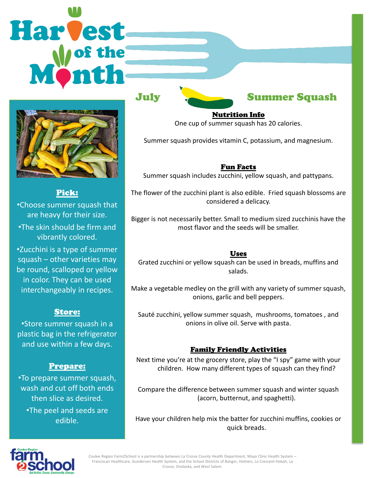# Harvest



Pick: •Choose summer squash that are heavy for their size. •The skin should be firm and vibrantly colored. •Zucchini is a type of summer squash – other varieties may be round, scalloped or yellow in color. They can be used interchangeably in recipes.

# Store:

•Store summer squash in a plastic bag in the refrigerator and use within a few days.

# Prepare:

•To prepare summer squash, wash and cut off both ends then slice as desired. •The peel and seeds are edible.



Nutrition Info One cup of summer squash has 20 calories.

Summer squash provides vitamin C, potassium, and magnesium.

### Fun Facts

Summer squash includes zucchini, yellow squash, and pattypans.

The flower of the zucchini plant is also edible. Fried squash blossoms are considered a delicacy.

Bigger is not necessarily better. Small to medium sized zucchinis have the most flavor and the seeds will be smaller.

### Uses

Grated zucchini or yellow squash can be used in breads, muffins and salads.

Make a vegetable medley on the grill with any variety of summer squash, onions, garlic and bell peppers.

Sauté zucchini, yellow summer squash, mushrooms, tomatoes , and onions in olive oil. Serve with pasta.

# Family Friendly Activities

Next time you're at the grocery store, play the "I spy" game with your children. How many different types of squash can they find?

Compare the difference between summer squash and winter squash (acorn, butternut, and spaghetti).

Have your children help mix the batter for zucchini muffins, cookies or quick breads.



Coulee Region Farm2School is a partnership between La Crosse County Health Department, Mayo Clinic Health System – Franciscan Healthcare, Gundersen Health System, and the School Districts of Bangor, Holmen, La Crescent-Hokah, La Crosse, Onalaska, and West Salem.